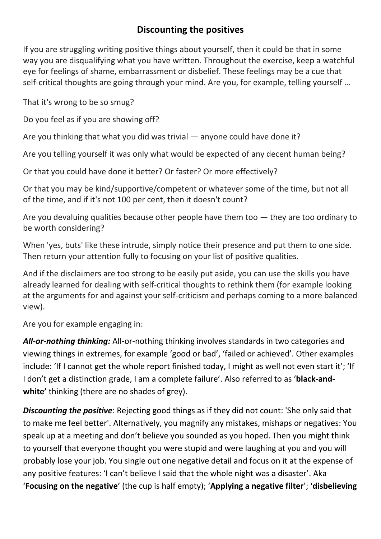## **Discounting the positives**

If you are struggling writing positive things about yourself, then it could be that in some way you are disqualifying what you have written. Throughout the exercise, keep a watchful eye for feelings of shame, embarrassment or disbelief. These feelings may be a cue that self-critical thoughts are going through your mind. Are you, for example, telling yourself …

That it's wrong to be so smug?

Do you feel as if you are showing off?

Are you thinking that what you did was trivial — anyone could have done it?

Are you telling yourself it was only what would be expected of any decent human being?

Or that you could have done it better? Or faster? Or more effectively?

Or that you may be kind/supportive/competent or whatever some of the time, but not all of the time, and if it's not 100 per cent, then it doesn't count?

Are you devaluing qualities because other people have them too  $-$  they are too ordinary to be worth considering?

When 'yes, buts' like these intrude, simply notice their presence and put them to one side. Then return your attention fully to focusing on your list of positive qualities.

And if the disclaimers are too strong to be easily put aside, you can use the skills you have already learned for dealing with self-critical thoughts to rethink them (for example looking at the arguments for and against your self-criticism and perhaps coming to a more balanced view).

Are you for example engaging in:

*All-or-nothing thinking:* All-or-nothing thinking involves standards in two categories and viewing things in extremes, for example 'good or bad', 'failed or achieved'. Other examples include: 'If I cannot get the whole report finished today, I might as well not even start it'; 'If I don't get a distinction grade, I am a complete failure'. Also referred to as '**black-andwhite'** thinking (there are no shades of grey).

*Discounting the positive*: Rejecting good things as if they did not count: 'She only said that to make me feel better'. Alternatively, you magnify any mistakes, mishaps or negatives: You speak up at a meeting and don't believe you sounded as you hoped. Then you might think to yourself that everyone thought you were stupid and were laughing at you and you will probably lose your job. You single out one negative detail and focus on it at the expense of any positive features: 'I can't believe I said that the whole night was a disaster'. Aka '**Focusing on the negative**' (the cup is half empty); '**Applying a negative filter**'; '**disbelieving**